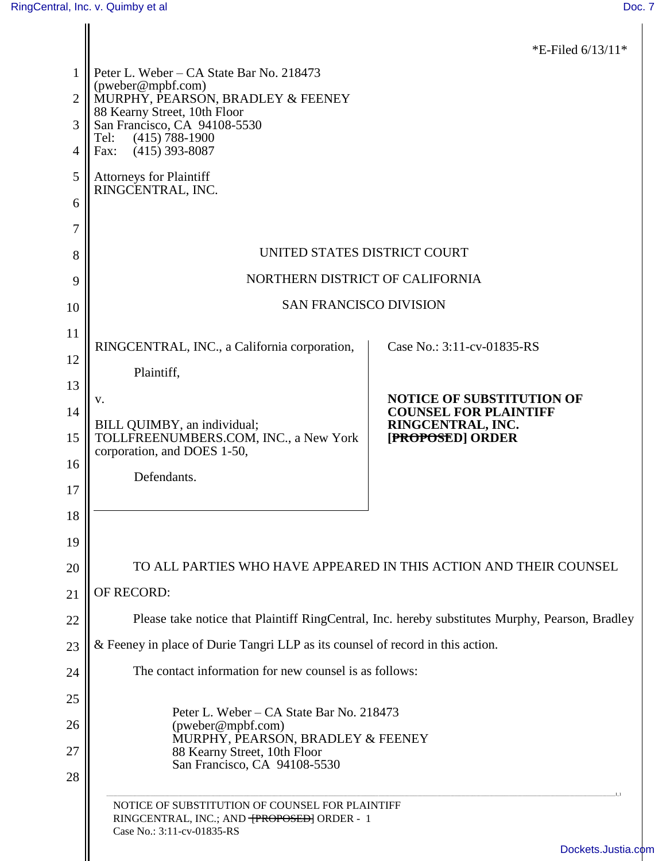|                |                                                                                                                                                                    | *E-Filed $6/13/11*$                                              |  |
|----------------|--------------------------------------------------------------------------------------------------------------------------------------------------------------------|------------------------------------------------------------------|--|
| 1              | Peter L. Weber - CA State Bar No. 218473                                                                                                                           |                                                                  |  |
| $\overline{2}$ | (pweber@mpbf.com)<br>MURPHY, PEARSON, BRADLEY & FEENEY                                                                                                             |                                                                  |  |
| 3              | 88 Kearny Street, 10th Floor<br>San Francisco, CA 94108-5530                                                                                                       |                                                                  |  |
| 4              | $(415) 788 - 1900$<br>Tel:<br>$(415)$ 393-8087<br>Fax:                                                                                                             |                                                                  |  |
| 5              | <b>Attorneys for Plaintiff</b>                                                                                                                                     |                                                                  |  |
| 6              | RINGCENTRAL, INC.                                                                                                                                                  |                                                                  |  |
| 7              |                                                                                                                                                                    |                                                                  |  |
| 8              | UNITED STATES DISTRICT COURT                                                                                                                                       |                                                                  |  |
| 9              | NORTHERN DISTRICT OF CALIFORNIA                                                                                                                                    |                                                                  |  |
| 10             | <b>SAN FRANCISCO DIVISION</b>                                                                                                                                      |                                                                  |  |
| 11             |                                                                                                                                                                    |                                                                  |  |
| 12             | RINGCENTRAL, INC., a California corporation,                                                                                                                       | Case No.: 3:11-cv-01835-RS                                       |  |
| 13             | Plaintiff,                                                                                                                                                         |                                                                  |  |
| 14             | V.                                                                                                                                                                 | <b>NOTICE OF SUBSTITUTION OF</b><br><b>COUNSEL FOR PLAINTIFF</b> |  |
| 15             | BILL QUIMBY, an individual;<br>TOLLFREENUMBERS.COM, INC., a New York<br>corporation, and DOES 1-50,                                                                | RINGCENTRAL, INC.<br>[PROPOSED] ORDER                            |  |
| 16             | Defendants.                                                                                                                                                        |                                                                  |  |
| 17             |                                                                                                                                                                    |                                                                  |  |
| 18             |                                                                                                                                                                    |                                                                  |  |
| 19             |                                                                                                                                                                    |                                                                  |  |
| 20             | TO ALL PARTIES WHO HAVE APPEARED IN THIS ACTION AND THEIR COUNSEL                                                                                                  |                                                                  |  |
| 21             | OF RECORD:                                                                                                                                                         |                                                                  |  |
| 22             | Please take notice that Plaintiff RingCentral, Inc. hereby substitutes Murphy, Pearson, Bradley                                                                    |                                                                  |  |
| 23             | & Feeney in place of Durie Tangri LLP as its counsel of record in this action.                                                                                     |                                                                  |  |
| 24             | The contact information for new counsel is as follows:                                                                                                             |                                                                  |  |
| 25             |                                                                                                                                                                    |                                                                  |  |
| 26             | Peter L. Weber – CA State Bar No. 218473<br>(pweber@mpbf.com)<br>MURPHY, PEARSON, BRADLEY & FEENEY<br>88 Kearny Street, 10th Floor<br>San Francisco, CA 94108-5530 |                                                                  |  |
| 27             |                                                                                                                                                                    |                                                                  |  |
| 28             |                                                                                                                                                                    |                                                                  |  |
|                | NOTICE OF SUBSTITUTION OF COUNSEL FOR PLAINTIFF<br>RINGCENTRAL, INC.; AND TPROPOSED] ORDER - 1<br>Case No.: 3:11-cv-01835-RS                                       |                                                                  |  |
|                |                                                                                                                                                                    | Dockets.Justia.com                                               |  |